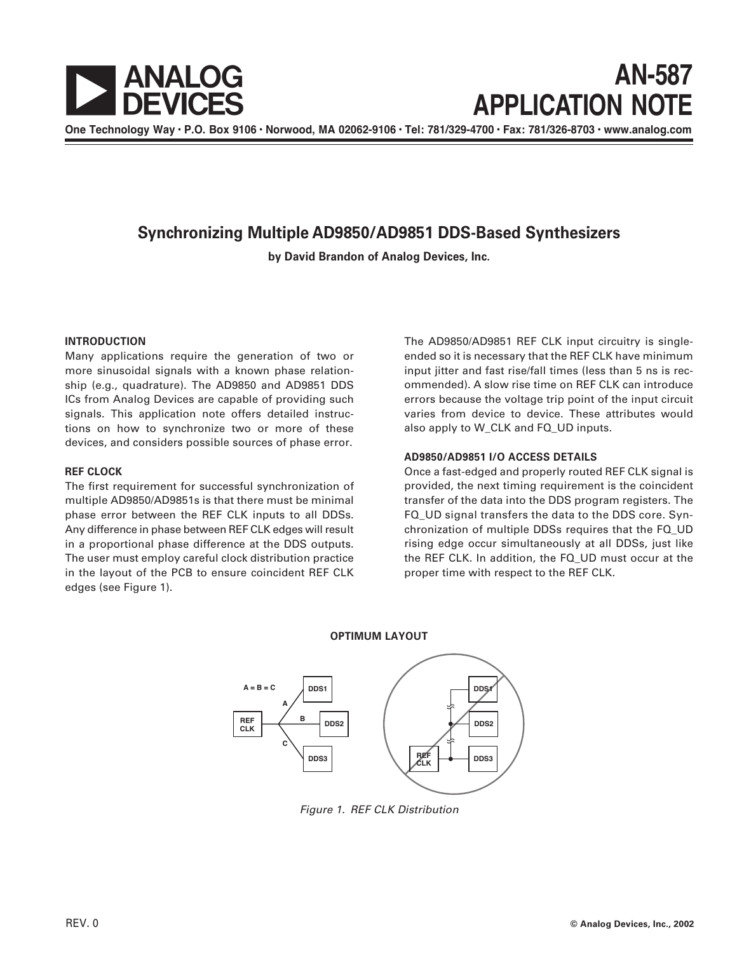

ANALOG **ANALOG**AN-587 **AN-587**<br>
DEVICES APPLICATION NOTE

# **Synchronizing Multiple AD9850/AD9851 DDS-Based Synthesizers**

**by David Brandon of Analog Devices, Inc.**

## **INTRODUCTION**

Many applications require the generation of two or more sinusoidal signals with a known phase relationship (e.g., quadrature). The AD9850 and AD9851 DDS ICs from Analog Devices are capable of providing such signals. This application note offers detailed instructions on how to synchronize two or more of these devices, and considers possible sources of phase error.

#### **REF CLOCK**

The first requirement for successful synchronization of multiple AD9850/AD9851s is that there must be minimal phase error between the REF CLK inputs to all DDSs. Any difference in phase between REF CLK edges will result in a proportional phase difference at the DDS outputs. The user must employ careful clock distribution practice in the layout of the PCB to ensure coincident REF CLK edges (see Figure 1).

The AD9850/AD9851 REF CLK input circuitry is singleended so it is necessary that the REF CLK have minimum input jitter and fast rise/fall times (less than 5 ns is recommended). A slow rise time on REF CLK can introduce errors because the voltage trip point of the input circuit varies from device to device. These attributes would also apply to W\_CLK and FQ\_UD inputs.

**APPLICATION NOTE**

## **AD9850/AD9851 I/O ACCESS DETAILS**

Once a fast-edged and properly routed REF CLK signal is provided, the next timing requirement is the coincident transfer of the data into the DDS program registers. The FQ\_UD signal transfers the data to the DDS core. Synchronization of multiple DDSs requires that the FQ\_UD rising edge occur simultaneously at all DDSs, just like the REF CLK. In addition, the FQ\_UD must occur at the proper time with respect to the REF CLK.



**OPTIMUM LAYOUT**

Figure 1. REF CLK Distribution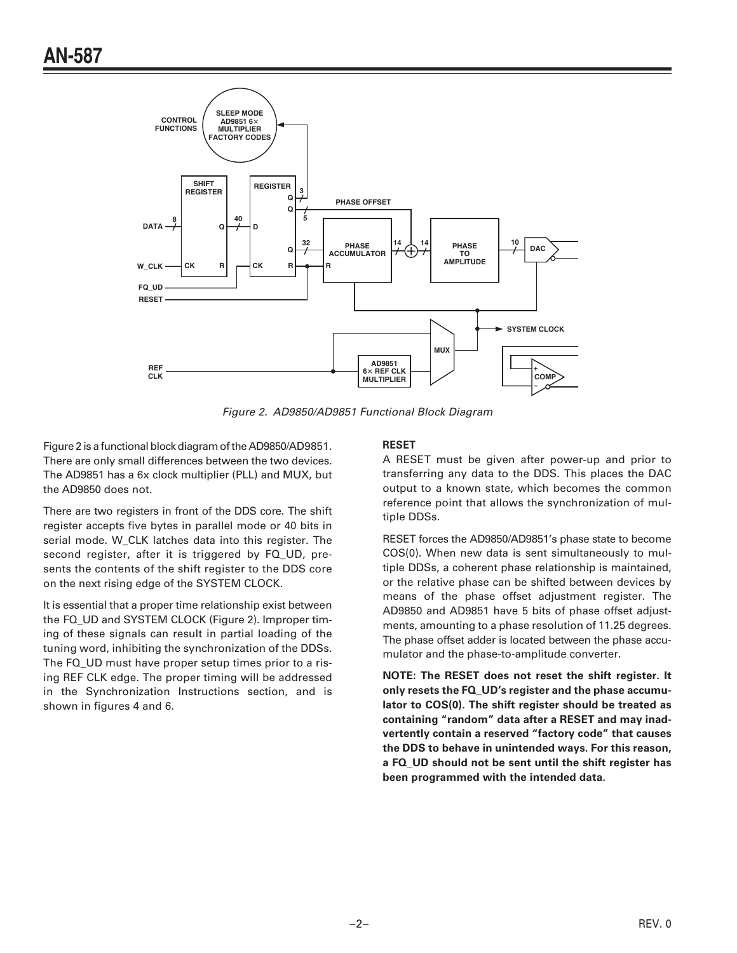

Figure 2. AD9850/AD9851 Functional Block Diagram

Figure 2 is a functional block diagram of the AD9850/AD9851. There are only small differences between the two devices. The AD9851 has a 6x clock multiplier (PLL) and MUX, but the AD9850 does not.

There are two registers in front of the DDS core. The shift register accepts five bytes in parallel mode or 40 bits in serial mode. W\_CLK latches data into this register. The second register, after it is triggered by FQ\_UD, presents the contents of the shift register to the DDS core on the next rising edge of the SYSTEM CLOCK.

It is essential that a proper time relationship exist between the FQ\_UD and SYSTEM CLOCK (Figure 2). Improper timing of these signals can result in partial loading of the tuning word, inhibiting the synchronization of the DDSs. The FQ\_UD must have proper setup times prior to a rising REF CLK edge. The proper timing will be addressed in the Synchronization Instructions section, and is shown in figures 4 and 6.

# **RESET**

A RESET must be given after power-up and prior to transferring any data to the DDS. This places the DAC output to a known state, which becomes the common reference point that allows the synchronization of multiple DDSs.

RESET forces the AD9850/AD9851's phase state to become COS(0). When new data is sent simultaneously to multiple DDSs, a coherent phase relationship is maintained, or the relative phase can be shifted between devices by means of the phase offset adjustment register. The AD9850 and AD9851 have 5 bits of phase offset adjustments, amounting to a phase resolution of 11.25 degrees. The phase offset adder is located between the phase accumulator and the phase-to-amplitude converter.

**NOTE: The RESET does not reset the shift register. It only resets the FQ\_UD's register and the phase accumulator to COS(0). The shift register should be treated as containing "random" data after a RESET and may inadvertently contain a reserved "factory code" that causes the DDS to behave in unintended ways. For this reason, a FQ\_UD should not be sent until the shift register has been programmed with the intended data.**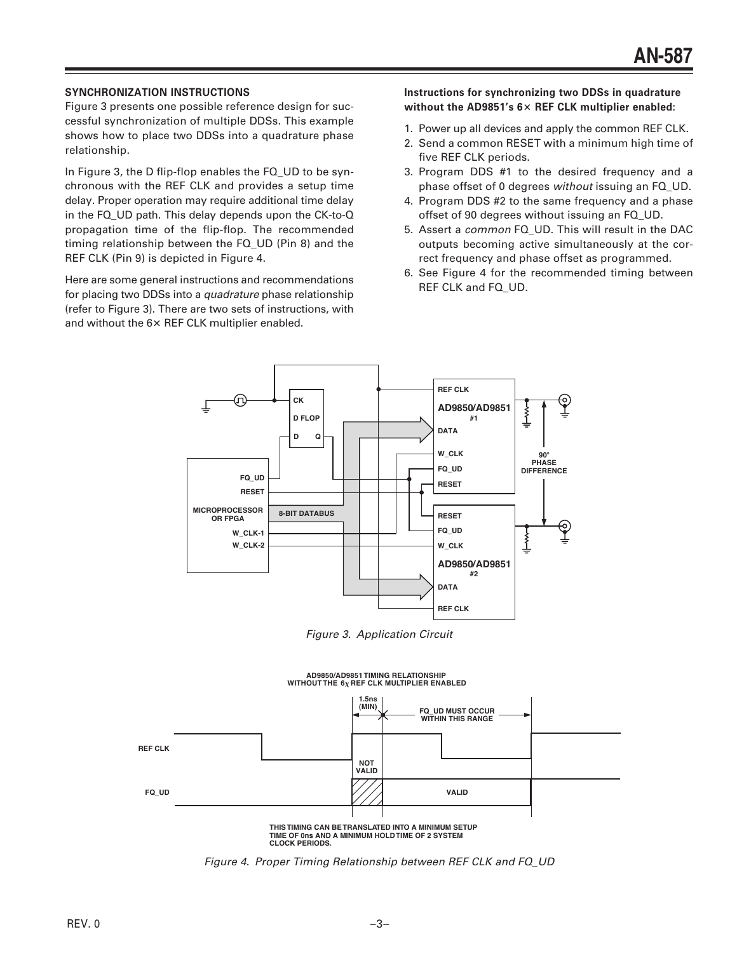## **SYNCHRONIZATION INSTRUCTIONS**

Figure 3 presents one possible reference design for successful synchronization of multiple DDSs. This example shows how to place two DDSs into a quadrature phase relationship.

In Figure 3, the D flip-flop enables the FQ UD to be synchronous with the REF CLK and provides a setup time delay. Proper operation may require additional time delay in the FQ UD path. This delay depends upon the CK-to-Q propagation time of the flip-flop. The recommended timing relationship between the FQ\_UD (Pin 8) and the REF CLK (Pin 9) is depicted in Figure 4.

Here are some general instructions and recommendations for placing two DDSs into a quadrature phase relationship (refer to Figure 3). There are two sets of instructions, with and without the  $6 \times$  REF CLK multiplier enabled.

#### **Instructions for synchronizing two DDSs in quadrature without the AD9851's 6 REF CLK multiplier enabled:**

- 1. Power up all devices and apply the common REF CLK.
- 2. Send a common RESET with a minimum high time of five REF CLK periods.
- 3. Program DDS #1 to the desired frequency and a phase offset of 0 degrees without issuing an FQ\_UD.
- 4. Program DDS #2 to the same frequency and a phase offset of 90 degrees without issuing an FQ\_UD.
- 5. Assert a common FQ\_UD. This will result in the DAC outputs becoming active simultaneously at the correct frequency and phase offset as programmed.
- 6. See Figure 4 for the recommended timing between REF CLK and FQ\_UD.





Figure 4. Proper Timing Relationship between REF CLK and FQ\_UD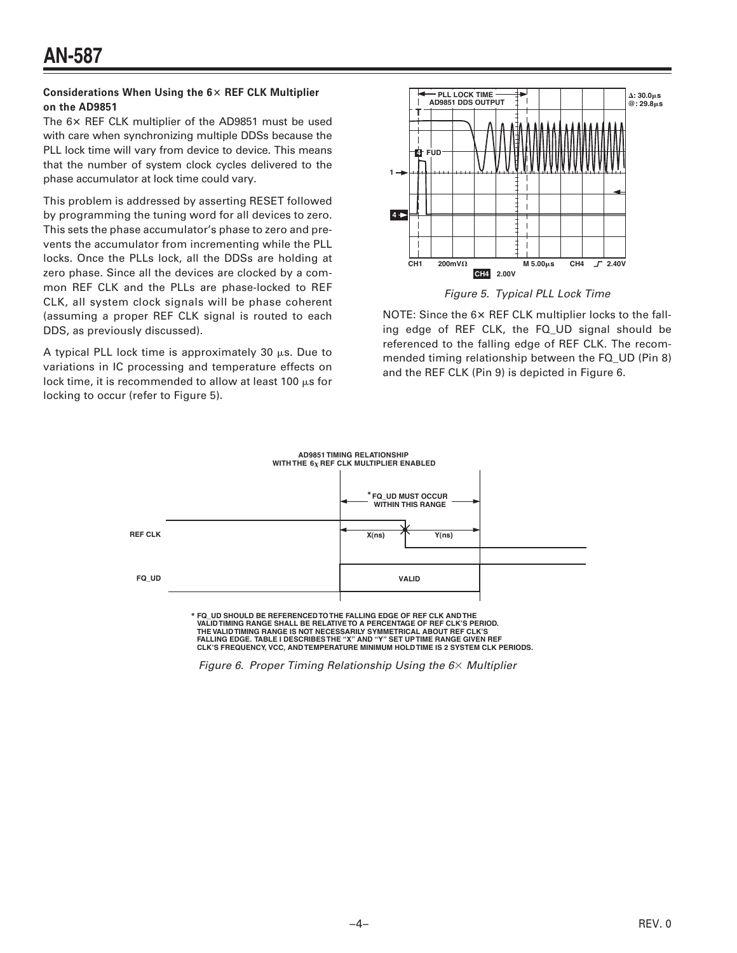## **Considerations When Using the 6 REF CLK Multiplier on the AD9851**

The  $6 \times$  REF CLK multiplier of the AD9851 must be used with care when synchronizing multiple DDSs because the PLL lock time will vary from device to device. This means that the number of system clock cycles delivered to the phase accumulator at lock time could vary.

This problem is addressed by asserting RESET followed by programming the tuning word for all devices to zero. This sets the phase accumulator's phase to zero and prevents the accumulator from incrementing while the PLL locks. Once the PLLs lock, all the DDSs are holding at zero phase. Since all the devices are clocked by a common REF CLK and the PLLs are phase-locked to REF CLK, all system clock signals will be phase coherent (assuming a proper REF CLK signal is routed to each DDS, as previously discussed).

A typical PLL lock time is approximately 30  $\mu$ s. Due to variations in IC processing and temperature effects on lock time, it is recommended to allow at least 100  $\mu$ s for locking to occur (refer to Figure 5).



Figure 5. Typical PLL Lock Time

NOTE: Since the  $6 \times$  REF CLK multiplier locks to the falling edge of REF CLK, the FQ\_UD signal should be referenced to the falling edge of REF CLK. The recommended timing relationship between the FQ\_UD (Pin 8) and the REF CLK (Pin 9) is depicted in Figure 6.



**\* FQ\_UD SHOULD BE REFERENCED TO THE FALLING EDGE OF REF CLK AND THE VALID TIMING RANGE SHALL BE RELATIVE TO A PERCENTAGE OF REF CLKíS PERIOD.** THE VALIDTIMING RANGE IS NOT NECESSARILY SYMMETRICAL ABOUT REF CLK'S<br>FALLING EDGE. TABLE I DESCRIBESTHE "X" AND "Y" SET UPTIME RANGE GIVEN REF<br>CLK'S FREQUENCY, VCC, ANDTEMPERATURE MINIMUM HOLDTIME IS 2 SYSTEM CLK PERIODS.

Figure 6. Proper Timing Relationship Using the 6 $\times$  Multiplier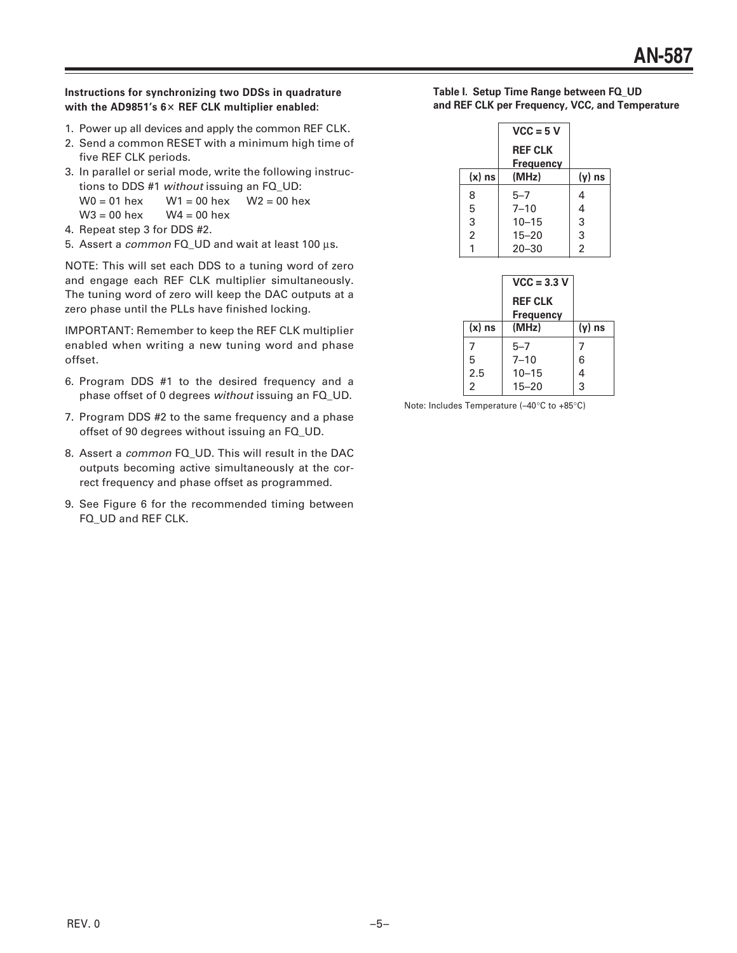## **Instructions for synchronizing two DDSs in quadrature with the AD9851's 6 REF CLK multiplier enabled:**

- 1. Power up all devices and apply the common REF CLK.
- 2. Send a common RESET with a minimum high time of five REF CLK periods.
- 3. In parallel or serial mode, write the following instructions to DDS #1 without issuing an FQ\_UD:
	- $W0 = 01$  hex  $W1 = 00$  hex  $W2 = 00$  hex
- $W3 = 00$  hex  $W4 = 00$  hex
- 4. Repeat step 3 for DDS #2.
- 5. Assert a common FQ\_UD and wait at least 100  $\mu$ s.

NOTE: This will set each DDS to a tuning word of zero and engage each REF CLK multiplier simultaneously. The tuning word of zero will keep the DAC outputs at a zero phase until the PLLs have finished locking.

IMPORTANT: Remember to keep the REF CLK multiplier enabled when writing a new tuning word and phase offset.

- 6. Program DDS #1 to the desired frequency and a phase offset of 0 degrees without issuing an FQ\_UD.
- 7. Program DDS #2 to the same frequency and a phase offset of 90 degrees without issuing an FQ\_UD.
- 8. Assert a common FQ\_UD. This will result in the DAC outputs becoming active simultaneously at the correct frequency and phase offset as programmed.
- 9. See Figure 6 for the recommended timing between FQ\_UD and REF CLK.

#### **Table I. Setup Time Range between FQ\_UD and REF CLK per Frequency, VCC, and Temperature**

|                | $VCC = 5V$                         |                |
|----------------|------------------------------------|----------------|
|                | <b>REF CLK</b><br><b>Frequency</b> |                |
| $(x)$ ns       | (MHz)                              | (y) ns         |
| 8              | $5 - 7$                            | 4              |
| 5              | $7 - 10$                           | 4              |
| 3              | $10 - 15$                          | 3              |
| $\overline{2}$ | $15 - 20$                          | 3              |
| 1              | $20 - 30$                          | $\overline{2}$ |

|                | $VCC = 3.3 V$             |          |
|----------------|---------------------------|----------|
|                | <b>REF CLK</b>            |          |
| $(x)$ ns       | <b>Frequency</b><br>(MHz) | $(y)$ ns |
| 7              | $5 - 7$                   | 7        |
| 5              | $7 - 10$                  | 6        |
| 2.5            | $10 - 15$                 | 4        |
| $\overline{2}$ | $15 - 20$                 | 3        |

Note: Includes Temperature (–40∞C to +85∞C)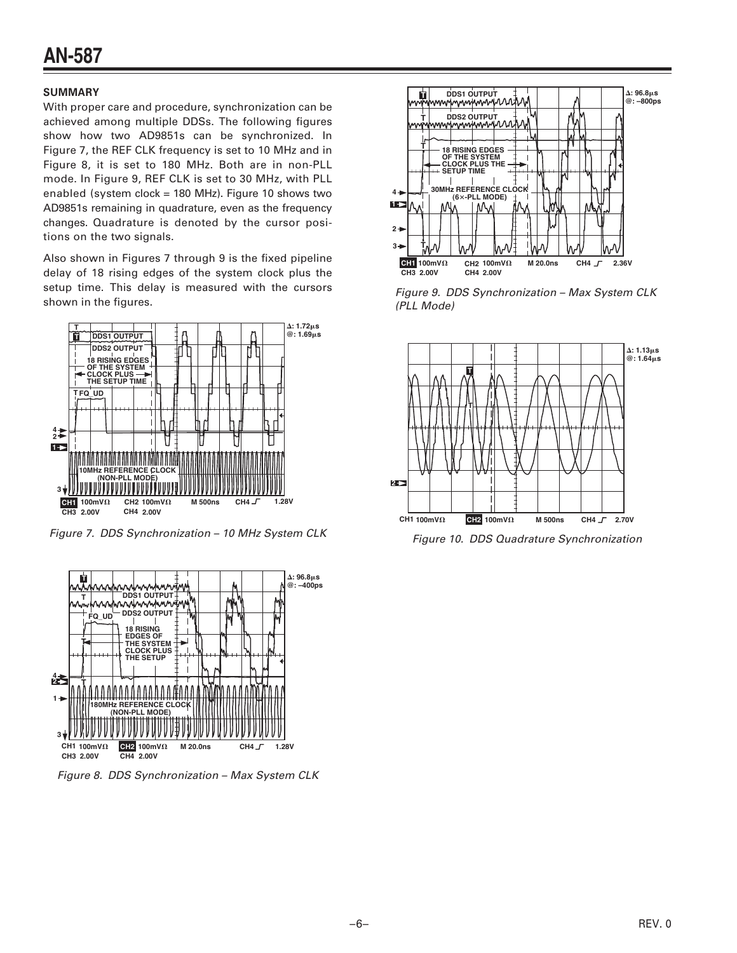# **SUMMARY**

With proper care and procedure, synchronization can be achieved among multiple DDSs. The following figures show how two AD9851s can be synchronized. In Figure 7, the REF CLK frequency is set to 10 MHz and in Figure 8, it is set to 180 MHz. Both are in non-PLL mode. In Figure 9, REF CLK is set to 30 MHz, with PLL enabled (system clock = 180 MHz). Figure 10 shows two AD9851s remaining in quadrature, even as the frequency changes. Quadrature is denoted by the cursor positions on the two signals.

Also shown in Figures 7 through 9 is the fixed pipeline delay of 18 rising edges of the system clock plus the setup time. This delay is measured with the cursors shown in the figures.



Figure 7. DDS Synchronization – 10 MHz System CLK



Figure 8. DDS Synchronization – Max System CLK



 Figure 9. DDS Synchronization – Max System CLK (PLL Mode)



Figure 10. DDS Quadrature Synchronization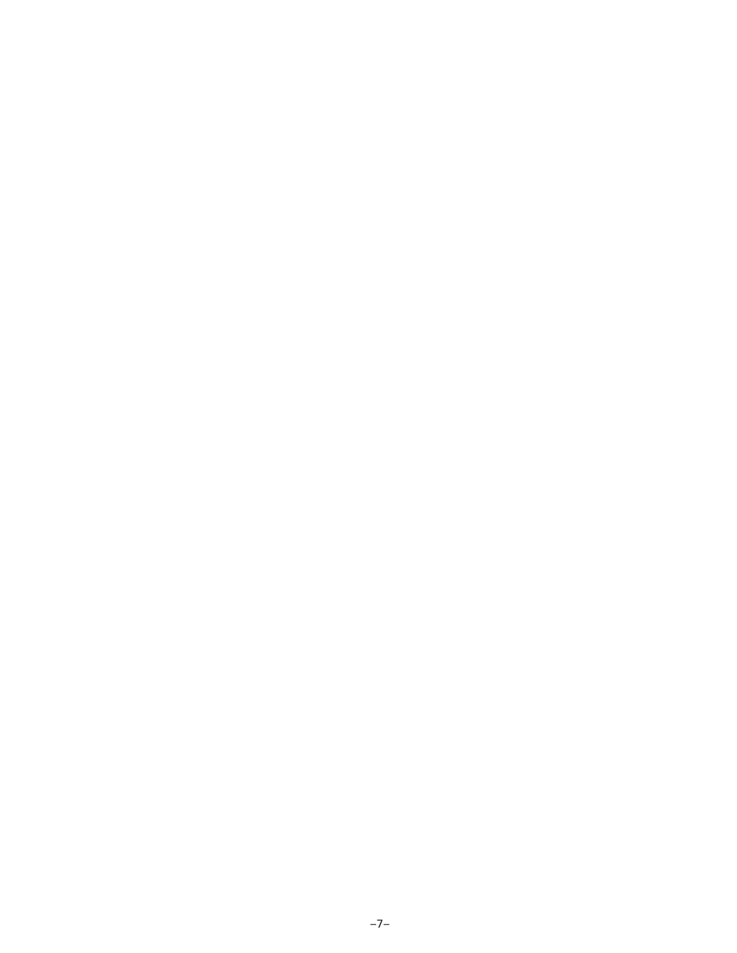$-7-$